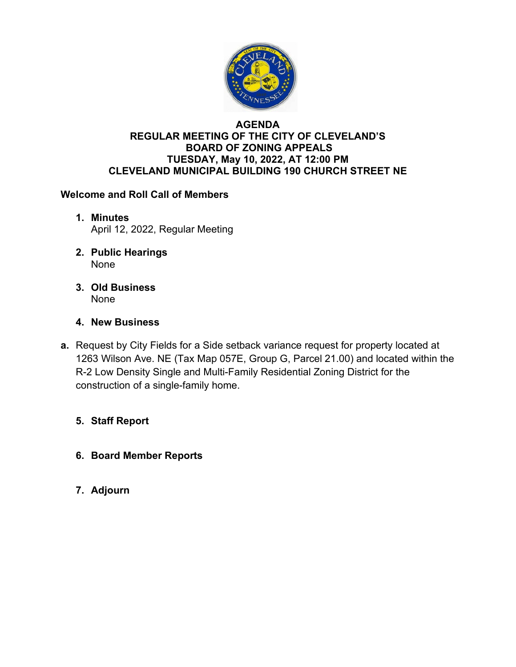

#### **AGENDA REGULAR MEETING OF THE CITY OF CLEVELAND'S BOARD OF ZONING APPEALS TUESDAY, May 10, 2022, AT 12:00 PM CLEVELAND MUNICIPAL BUILDING 190 CHURCH STREET NE**

### **Welcome and Roll Call of Members**

- **1. Minutes** April 12, 2022, Regular Meeting
- **2. Public Hearings** None
- **3. Old Business** None

### **4. New Business**

**a.** Request by City Fields for a Side setback variance request for property located at 1263 Wilson Ave. NE (Tax Map 057E, Group G, Parcel 21.00) and located within the R-2 Low Density Single and Multi-Family Residential Zoning District for the construction of a single-family home.

### **5. Staff Report**

- **6. Board Member Reports**
- **7. Adjourn**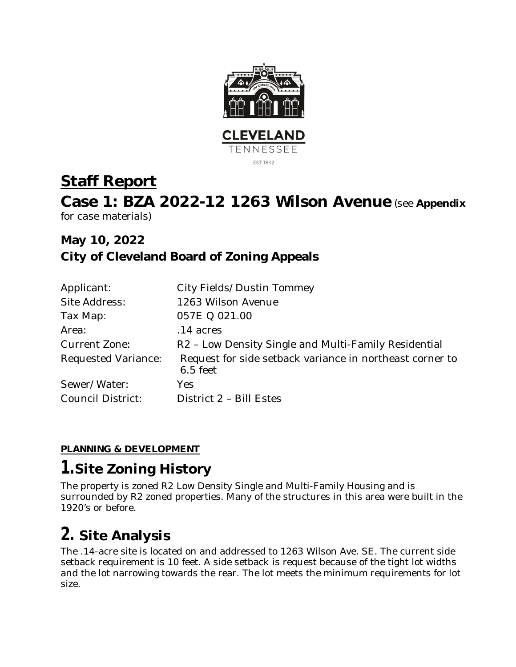

### **Staff Report Case 1: BZA 2022-12 1263 Wilson Avenue** (see **Appendix** for case materials)

### **May 10, 2022 City of Cleveland Board of Zoning Appeals**

| Applicant:                 | City Fields/Dustin Tommey                                            |
|----------------------------|----------------------------------------------------------------------|
| <b>Site Address:</b>       | 1263 Wilson Avenue                                                   |
| Tax Map:                   | 057E Q 021.00                                                        |
| Area:                      | $.14$ acres                                                          |
| <b>Current Zone:</b>       | R2 - Low Density Single and Multi-Family Residential                 |
| <b>Requested Variance:</b> | Request for side setback variance in northeast corner to<br>6.5 feet |
| Sewer/Water:               | <b>Yes</b>                                                           |
| <b>Council District:</b>   | District 2 - Bill Estes                                              |

### **PLANNING & DEVELOPMENT**

## **1.Site Zoning History**

The property is zoned R2 Low Density Single and Multi-Family Housing and is surrounded by R2 zoned properties. Many of the structures in this area were built in the 1920's or before.

# **2. Site Analysis**

The .14-acre site is located on and addressed to 1263 Wilson Ave. SE. The current side setback requirement is 10 feet. A side setback is request because of the tight lot widths and the lot narrowing towards the rear. The lot meets the minimum requirements for lot size.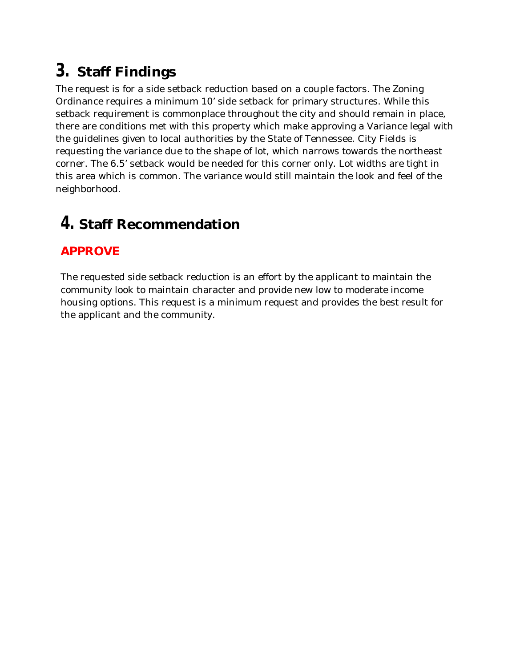# **3. Staff Findings**

The request is for a side setback reduction based on a couple factors. The Zoning Ordinance requires a minimum 10' side setback for primary structures. While this setback requirement is commonplace throughout the city and should remain in place, there are conditions met with this property which make approving a Variance legal with the guidelines given to local authorities by the State of Tennessee. City Fields is requesting the variance due to the shape of lot, which narrows towards the northeast corner. The 6.5' setback would be needed for this corner only. Lot widths are tight in this area which is common. The variance would still maintain the look and feel of the neighborhood.

## **4. Staff Recommendation**

## **APPROVE**

The requested side setback reduction is an effort by the applicant to maintain the community look to maintain character and provide new low to moderate income housing options. This request is a minimum request and provides the best result for the applicant and the community.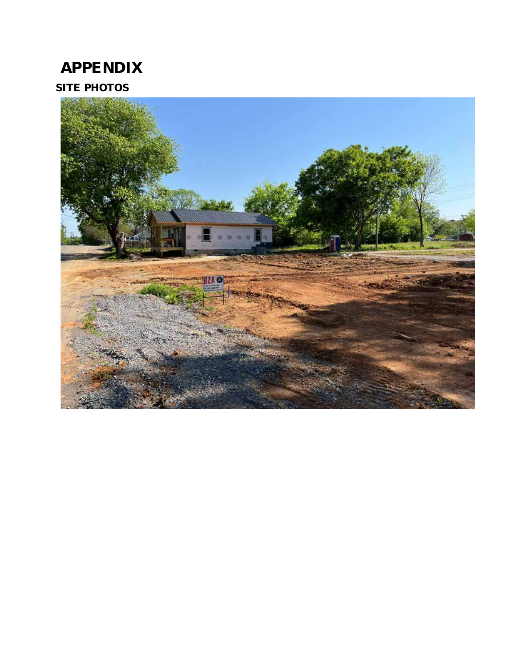# **APPENDIX SITE PHOTOS**

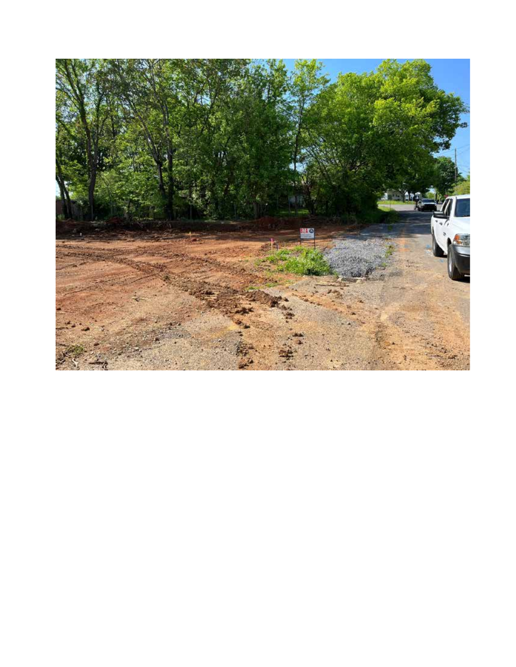